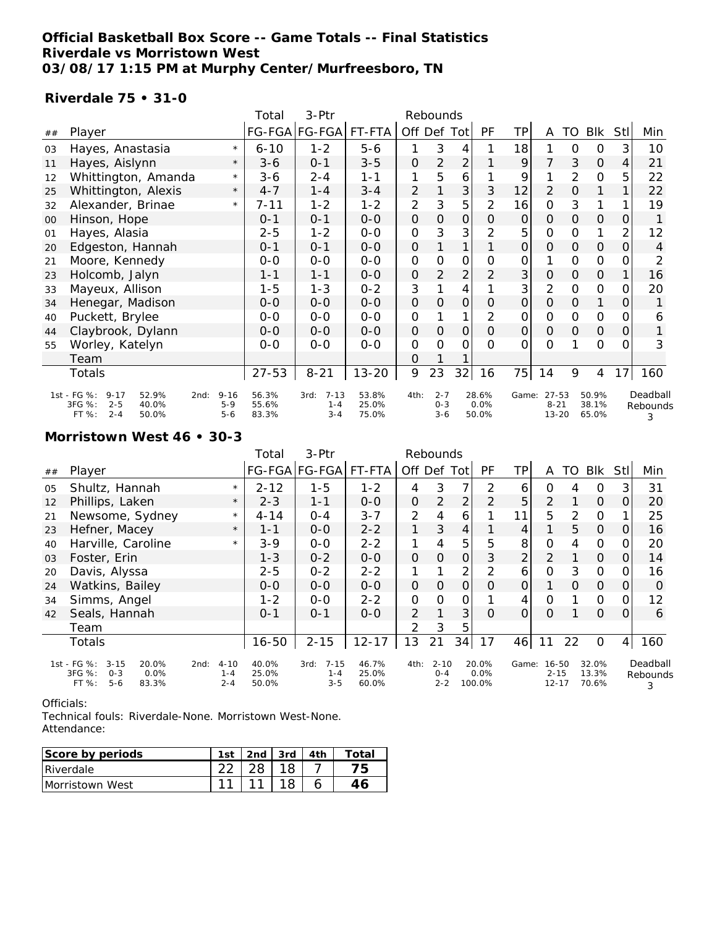### **Official Basketball Box Score -- Game Totals -- Final Statistics Riverdale vs Morristown West 03/08/17 1:15 PM at Murphy Center/Murfreesboro, TN**

### **Riverdale 75 • 31-0**

|    |                                                                                                                                       |         | Total                   | 3-Ptr                                  |                         |                     | Rebounds                      |                     |                        |                |                                |               |                         |                |                           |
|----|---------------------------------------------------------------------------------------------------------------------------------------|---------|-------------------------|----------------------------------------|-------------------------|---------------------|-------------------------------|---------------------|------------------------|----------------|--------------------------------|---------------|-------------------------|----------------|---------------------------|
| ## | Player                                                                                                                                |         |                         | FG-FGA FG-FGA                          | FT-FTA                  | Off Def             |                               | Tot                 | PF                     | ТP             | A                              | TO            | <b>Blk</b>              | <b>StI</b>     | Min                       |
| 03 | Hayes, Anastasia                                                                                                                      | $\star$ | $6 - 10$                | $1 - 2$                                | $5 - 6$                 |                     | 3                             | 4                   |                        | 18             |                                | 0             | 0                       | 3              | 10                        |
| 11 | Hayes, Aislynn                                                                                                                        | $\star$ | $3 - 6$                 | $0 - 1$                                | $3 - 5$                 | $\mathcal{O}$       | 2                             | $\overline{2}$      |                        | 9              | 7                              | 3             | $\mathbf 0$             | 4              | 21                        |
| 12 | Whittington, Amanda                                                                                                                   | $\star$ | $3 - 6$                 | $2 - 4$                                | $1 - 1$                 | 1                   | 5                             | 6                   |                        | 9              |                                | 2             | 0                       | 5              | 22                        |
| 25 | Whittington, Alexis                                                                                                                   | $\star$ | $4 - 7$                 | $1 - 4$                                | $3 - 4$                 | 2                   |                               | 3                   | 3                      | 12             | $\overline{2}$                 | 0             | 1                       |                | 22                        |
| 32 | Alexander, Brinae                                                                                                                     | $\star$ | $7 - 11$                | $1 - 2$                                | $1 - 2$                 | $\overline{2}$      | 3                             | 5                   | $\overline{2}$         | 16             | $\Omega$                       | 3             | 1                       |                | 19                        |
| 00 | Hinson, Hope                                                                                                                          |         | $0 - 1$                 | $0 - 1$                                | $0-0$                   | 0                   | $\mathsf O$                   | $\mathsf{O}\xspace$ | $\Omega$               | 0              | $\mathsf{O}\xspace$            | $\mathcal{O}$ | $\mathbf 0$             | 0              |                           |
| 01 | Hayes, Alasia                                                                                                                         |         | $2 - 5$                 | $1 - 2$                                | $0 - 0$                 | $\mathsf{O}\xspace$ | 3                             | 3                   | $\overline{2}$         | 5              | $\mathbf 0$                    | O             | 1                       | 2              | 12                        |
| 20 | Edgeston, Hannah                                                                                                                      |         | $0 - 1$                 | $0 - 1$                                | $0-0$                   | $\mathbf 0$         |                               | 1                   |                        | $\mathcal{O}$  | $\Omega$                       | $\Omega$      | $\mathcal{O}$           | 0              | 4                         |
| 21 | Moore, Kennedy                                                                                                                        |         | $0-0$                   | $0 - 0$                                | $0-0$                   | 0                   | $\overline{O}$                | $\mathbf 0$         | O                      | 0              |                                | O             | $\overline{O}$          | O              | 2                         |
| 23 | Holcomb, Jalyn                                                                                                                        |         | $1 - 1$                 | $1 - 1$                                | $0-0$                   | 0                   | $\overline{2}$                | $\overline{2}$      | 2                      | 3              | 0                              | $\Omega$      | $\mathcal{O}$           | 1              | 16                        |
| 33 | Mayeux, Allison                                                                                                                       |         | $1 - 5$                 | $1 - 3$                                | $0 - 2$                 | 3                   |                               | 4                   |                        | 3              | 2                              | $\mathbf{O}$  | 0                       | 0              | 20                        |
| 34 | Henegar, Madison                                                                                                                      |         | $0 - 0$                 | $0-0$                                  | $0-0$                   | $\overline{O}$      | $\mathcal{O}$                 | $\overline{O}$      | $\overline{O}$         | $\overline{O}$ | $\overline{O}$                 | $\mathcal{O}$ | 1                       | $\overline{O}$ |                           |
| 40 | Puckett, Brylee                                                                                                                       |         | $0-0$                   | $0 - 0$                                | $0-0$                   | $\mathsf{O}\xspace$ |                               | 1                   | 2                      | 0              | $\mathbf 0$                    | O             | $\mathbf 0$             | 0              | 6                         |
| 44 | Claybrook, Dylann                                                                                                                     |         | $0 - 0$                 | $0 - 0$                                | $0-0$                   | O                   | $\Omega$                      | $\mathbf 0$         | $\Omega$               | $\mathcal{O}$  | $\Omega$                       | $\mathcal{O}$ | $\mathcal{O}$           | 0              |                           |
| 55 | Worley, Katelyn                                                                                                                       |         | $0-0$                   | $0-0$                                  | $0 - 0$                 | 0                   | $\overline{O}$                | $\Omega$            | $\Omega$               | $\Omega$       | $\Omega$                       |               | $\Omega$                | $\Omega$       | 3                         |
|    | Team                                                                                                                                  |         |                         |                                        |                         | 0                   |                               |                     |                        |                |                                |               |                         |                |                           |
|    | Totals                                                                                                                                |         | $27 - 53$               | $8 - 21$                               | $13 - 20$               | 9                   | 23                            | 32                  | 16                     | 75             | 14                             | 9             | 4                       | 17             | 160                       |
|    | 1st - FG %:<br>$9 - 17$<br>52.9%<br>$9 - 16$<br>2nd:<br>3FG %:<br>$2 - 5$<br>40.0%<br>$5 - 9$<br>FT %:<br>$2 - 4$<br>50.0%<br>$5 - 6$ |         | 56.3%<br>55.6%<br>83.3% | $7 - 13$<br>3rd:<br>$1 - 4$<br>$3 - 4$ | 53.8%<br>25.0%<br>75.0% | 4th:                | $2 - 7$<br>$0 - 3$<br>$3 - 6$ |                     | 28.6%<br>0.0%<br>50.0% | Game:          | 27-53<br>$8 - 21$<br>$13 - 20$ |               | 50.9%<br>38.1%<br>65.0% |                | Deadball<br>Rebounds<br>3 |

### **Morristown West 46 • 30-3**

|    |                                                                                            |                                        | Total                   | 3-Ptr                                  | Rebounds                |               |                                |                |                         |               |                                |          |                         |                |                           |
|----|--------------------------------------------------------------------------------------------|----------------------------------------|-------------------------|----------------------------------------|-------------------------|---------------|--------------------------------|----------------|-------------------------|---------------|--------------------------------|----------|-------------------------|----------------|---------------------------|
| ## | Player                                                                                     |                                        |                         | FG-FGA FG-FGA                          | FT-FTA                  | Off Def Tot   |                                |                | PF                      | TP            | A                              | TO       | Blk                     | Stll           | Min                       |
| 05 | Shultz, Hannah                                                                             | $\star$                                | $2 - 12$                | $1 - 5$                                | $1 - 2$                 | 4             | 3                              | 7              | 2                       | 6             | 0                              | 4        | 0                       | 3              | 31                        |
| 12 | Phillips, Laken                                                                            | $\star$                                | $2 - 3$                 | $1 - 1$                                | $0 - 0$                 | $\mathcal{O}$ | $\overline{2}$                 | $\overline{2}$ | 2                       | 5             | $\overline{2}$                 |          | $\mathcal{O}$           | $\overline{O}$ | 20                        |
| 21 | Newsome, Sydney                                                                            | $\star$                                | $4 - 14$                | $0 - 4$                                | $3 - 7$                 | 2             | 4                              | 6              |                         | 11            | 5                              | 2        | $\mathcal{O}$           |                | 25                        |
| 23 | Hefner, Macey                                                                              | $\star$                                | $1 - 1$                 | $O-O$                                  | $2 - 2$                 | 1             | 3                              | $\overline{4}$ |                         | 4             |                                | 5        | $\mathbf 0$             | 0              | 16                        |
| 40 | Harville, Caroline                                                                         | $\star$                                | $3 - 9$                 | $0 - 0$                                | $2 - 2$                 | 1             | 4                              | 5              | 5                       | 8             | $\mathcal{O}$                  | 4        | 0                       | 0              | 20                        |
| 03 | Foster, Erin                                                                               |                                        | $1 - 3$                 | $0 - 2$                                | $0-0$                   | $\mathcal{O}$ | $\overline{O}$                 | $\mathcal{O}$  | 3                       | 2             | $\overline{2}$                 |          | $\mathcal{O}$           | $\overline{O}$ | 14                        |
| 20 | Davis, Alyssa                                                                              |                                        | $2 - 5$                 | $0 - 2$                                | $2 - 2$                 |               |                                | $\overline{2}$ | $\overline{2}$          | 6             | $\mathcal{O}$                  | 3        | $\mathcal{O}$           | $\Omega$       | 16                        |
| 24 | Watkins, Bailey                                                                            |                                        | $0 - 0$                 | $0 - 0$                                | $0 - 0$                 | 0             | $\Omega$                       | $\mathcal{O}$  | $\Omega$                | $\mathcal{O}$ | $\mathbf{1}$                   | $\Omega$ | $\mathcal{O}$           | 0              | O                         |
| 34 | Simms, Angel                                                                               |                                        | $1 - 2$                 | $O - O$                                | $2 - 2$                 | O             | $\Omega$                       | 0              |                         | 4             | $\Omega$                       |          | 0                       | 0              | 12                        |
| 42 | Seals, Hannah                                                                              |                                        | $0 - 1$                 | $0 - 1$                                | $0 - 0$                 | 2             |                                | 3              | $\Omega$                | $\Omega$      | $\Omega$                       |          | $\Omega$                | $\Omega$       | 6                         |
|    | Team                                                                                       |                                        |                         |                                        |                         | 2             | 3                              | 5              |                         |               |                                |          |                         |                |                           |
|    | Totals                                                                                     |                                        | $16 - 50$               | $2 - 15$                               | $12 - 17$               | 13            | 21                             | 34             | 17                      | 46            | 11                             | 22       | $\mathbf 0$             | $\overline{4}$ | 160                       |
|    | 1st - FG %:<br>$3 - 15$<br>20.0%<br>3FG %:<br>0.0%<br>$0 - 3$<br>$5 - 6$<br>83.3%<br>FT %: | $4 - 10$<br>2nd:<br>$1 - 4$<br>$2 - 4$ | 40.0%<br>25.0%<br>50.0% | $7 - 15$<br>3rd:<br>$1 - 4$<br>$3 - 5$ | 46.7%<br>25.0%<br>60.0% | 4th:          | $2 - 10$<br>$0 - 4$<br>$2 - 2$ |                | 20.0%<br>0.0%<br>100.0% | Game:         | 16-50<br>$2 - 15$<br>$12 - 17$ |          | 32.0%<br>13.3%<br>70.6% |                | Deadball<br>Rebounds<br>3 |

Officials:

Technical fouls: Riverdale-None. Morristown West-None. Attendance:

| Score by periods        | 1st | 2nd | $\vert$ 3rd | -ิotal |
|-------------------------|-----|-----|-------------|--------|
| <b>IRiverdale</b>       |     |     |             |        |
| <b>IMorristown West</b> |     |     | 18.         |        |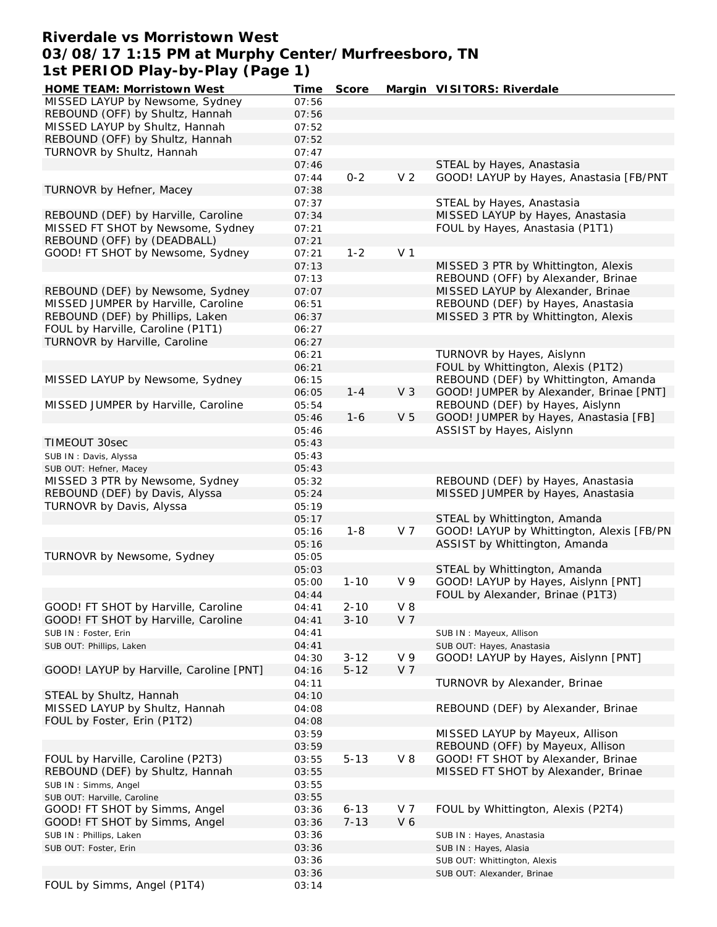# **Riverdale vs Morristown West 03/08/17 1:15 PM at Murphy Center/Murfreesboro, TN 1st PERIOD Play-by-Play (Page 1)**

| HOME TEAM: Morristown West              | Time  | Score    |                | Margin VISITORS: Riverdale                |
|-----------------------------------------|-------|----------|----------------|-------------------------------------------|
| MISSED LAYUP by Newsome, Sydney         | 07:56 |          |                |                                           |
| REBOUND (OFF) by Shultz, Hannah         | 07:56 |          |                |                                           |
| MISSED LAYUP by Shultz, Hannah          | 07:52 |          |                |                                           |
| REBOUND (OFF) by Shultz, Hannah         | 07:52 |          |                |                                           |
| TURNOVR by Shultz, Hannah               | 07:47 |          |                |                                           |
|                                         | 07:46 |          |                | STEAL by Hayes, Anastasia                 |
|                                         |       | $0 - 2$  | V <sub>2</sub> |                                           |
|                                         | 07:44 |          |                | GOOD! LAYUP by Hayes, Anastasia [FB/PNT   |
| TURNOVR by Hefner, Macey                | 07:38 |          |                |                                           |
|                                         | 07:37 |          |                | STEAL by Hayes, Anastasia                 |
| REBOUND (DEF) by Harville, Caroline     | 07:34 |          |                | MISSED LAYUP by Hayes, Anastasia          |
| MISSED FT SHOT by Newsome, Sydney       | 07:21 |          |                | FOUL by Hayes, Anastasia (P1T1)           |
| REBOUND (OFF) by (DEADBALL)             | 07:21 |          |                |                                           |
| GOOD! FT SHOT by Newsome, Sydney        | 07:21 | $1 - 2$  | V <sub>1</sub> |                                           |
|                                         | 07:13 |          |                | MISSED 3 PTR by Whittington, Alexis       |
|                                         | 07:13 |          |                | REBOUND (OFF) by Alexander, Brinae        |
| REBOUND (DEF) by Newsome, Sydney        | 07:07 |          |                | MISSED LAYUP by Alexander, Brinae         |
| MISSED JUMPER by Harville, Caroline     | 06:51 |          |                | REBOUND (DEF) by Hayes, Anastasia         |
| REBOUND (DEF) by Phillips, Laken        | 06:37 |          |                | MISSED 3 PTR by Whittington, Alexis       |
| FOUL by Harville, Caroline (P1T1)       | 06:27 |          |                |                                           |
| TURNOVR by Harville, Caroline           | 06:27 |          |                |                                           |
|                                         |       |          |                |                                           |
|                                         | 06:21 |          |                | TURNOVR by Hayes, Aislynn                 |
|                                         | 06:21 |          |                | FOUL by Whittington, Alexis (P1T2)        |
| MISSED LAYUP by Newsome, Sydney         | 06:15 |          |                | REBOUND (DEF) by Whittington, Amanda      |
|                                         | 06:05 | $1 - 4$  | V <sub>3</sub> | GOOD! JUMPER by Alexander, Brinae [PNT]   |
| MISSED JUMPER by Harville, Caroline     | 05:54 |          |                | REBOUND (DEF) by Hayes, Aislynn           |
|                                         | 05:46 | $1 - 6$  | V <sub>5</sub> | GOOD! JUMPER by Hayes, Anastasia [FB]     |
|                                         | 05:46 |          |                | ASSIST by Hayes, Aislynn                  |
| TIMEOUT 30sec                           | 05:43 |          |                |                                           |
| SUB IN: Davis, Alyssa                   | 05:43 |          |                |                                           |
| SUB OUT: Hefner, Macey                  | 05:43 |          |                |                                           |
| MISSED 3 PTR by Newsome, Sydney         | 05:32 |          |                | REBOUND (DEF) by Hayes, Anastasia         |
| REBOUND (DEF) by Davis, Alyssa          | 05:24 |          |                | MISSED JUMPER by Hayes, Anastasia         |
| TURNOVR by Davis, Alyssa                | 05:19 |          |                |                                           |
|                                         | 05:17 |          |                | STEAL by Whittington, Amanda              |
|                                         | 05:16 | $1 - 8$  | V <sub>7</sub> | GOOD! LAYUP by Whittington, Alexis [FB/PN |
|                                         |       |          |                |                                           |
|                                         | 05:16 |          |                | ASSIST by Whittington, Amanda             |
| TURNOVR by Newsome, Sydney              | 05:05 |          |                |                                           |
|                                         | 05:03 |          |                | STEAL by Whittington, Amanda              |
|                                         | 05:00 | $1 - 10$ | V <sub>9</sub> | GOOD! LAYUP by Hayes, Aislynn [PNT]       |
|                                         | 04:44 |          |                | FOUL by Alexander, Brinae (P1T3)          |
| GOOD! FT SHOT by Harville, Caroline     | 04:41 | $2 - 10$ | $V_8$          |                                           |
| GOOD! FT SHOT by Harville, Caroline     | 04:41 | $3 - 10$ | V <sub>7</sub> |                                           |
| SUB IN: Foster, Erin                    | 04:41 |          |                | SUB IN: Mayeux, Allison                   |
| SUB OUT: Phillips, Laken                | 04:41 |          |                | SUB OUT: Hayes, Anastasia                 |
|                                         | 04:30 | $3 - 12$ | V <sub>9</sub> | GOOD! LAYUP by Hayes, Aislynn [PNT]       |
| GOOD! LAYUP by Harville, Caroline [PNT] | 04:16 | $5 - 12$ | V <sub>7</sub> |                                           |
|                                         | 04:11 |          |                | TURNOVR by Alexander, Brinae              |
| STEAL by Shultz, Hannah                 | 04:10 |          |                |                                           |
| MISSED LAYUP by Shultz, Hannah          | 04:08 |          |                | REBOUND (DEF) by Alexander, Brinae        |
| FOUL by Foster, Erin (P1T2)             | 04:08 |          |                |                                           |
|                                         | 03:59 |          |                | MISSED LAYUP by Mayeux, Allison           |
|                                         |       |          |                | REBOUND (OFF) by Mayeux, Allison          |
|                                         | 03:59 |          |                |                                           |
| FOUL by Harville, Caroline (P2T3)       | 03:55 | $5 - 13$ | $V_8$          | GOOD! FT SHOT by Alexander, Brinae        |
| REBOUND (DEF) by Shultz, Hannah         | 03:55 |          |                | MISSED FT SHOT by Alexander, Brinae       |
| SUB IN: Simms, Angel                    | 03:55 |          |                |                                           |
| SUB OUT: Harville, Caroline             | 03:55 |          |                |                                           |
| GOOD! FT SHOT by Simms, Angel           | 03:36 | $6 - 13$ | V 7            | FOUL by Whittington, Alexis (P2T4)        |
| GOOD! FT SHOT by Simms, Angel           | 03:36 | $7 - 13$ | V6             |                                           |
| SUB IN: Phillips, Laken                 | 03:36 |          |                | SUB IN: Hayes, Anastasia                  |
| SUB OUT: Foster, Erin                   | 03:36 |          |                | SUB IN: Hayes, Alasia                     |
|                                         | 03:36 |          |                | SUB OUT: Whittington, Alexis              |
|                                         | 03:36 |          |                | SUB OUT: Alexander, Brinae                |
| FOUL by Simms, Angel (P1T4)             | 03:14 |          |                |                                           |
|                                         |       |          |                |                                           |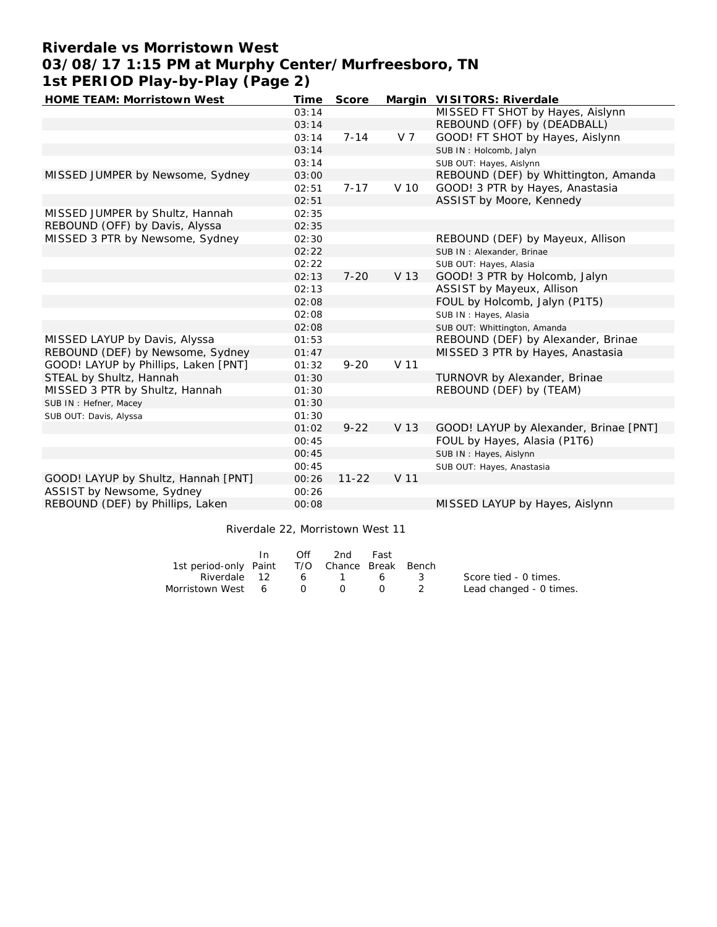# **Riverdale vs Morristown West 03/08/17 1:15 PM at Murphy Center/Murfreesboro, TN 1st PERIOD Play-by-Play (Page 2)**

| HOME TEAM: Morristown West           | Time  | Score     |                 | Margin VISITORS: Riverdale             |
|--------------------------------------|-------|-----------|-----------------|----------------------------------------|
|                                      | 03:14 |           |                 | MISSED FT SHOT by Hayes, Aislynn       |
|                                      | 03:14 |           |                 | REBOUND (OFF) by (DEADBALL)            |
|                                      | 03:14 | $7 - 14$  | V 7             | GOOD! FT SHOT by Hayes, Aislynn        |
|                                      | 03:14 |           |                 | SUB IN: Holcomb, Jalyn                 |
|                                      | 03:14 |           |                 | SUB OUT: Hayes, Aislynn                |
| MISSED JUMPER by Newsome, Sydney     | 03:00 |           |                 | REBOUND (DEF) by Whittington, Amanda   |
|                                      | 02:51 | $7 - 17$  | V 10            | GOOD! 3 PTR by Hayes, Anastasia        |
|                                      | 02:51 |           |                 | ASSIST by Moore, Kennedy               |
| MISSED JUMPER by Shultz, Hannah      | 02:35 |           |                 |                                        |
| REBOUND (OFF) by Davis, Alyssa       | 02:35 |           |                 |                                        |
| MISSED 3 PTR by Newsome, Sydney      | 02:30 |           |                 | REBOUND (DEF) by Mayeux, Allison       |
|                                      | 02:22 |           |                 | SUB IN: Alexander, Brinae              |
|                                      | 02:22 |           |                 | SUB OUT: Hayes, Alasia                 |
|                                      | 02:13 | $7 - 20$  | V 13            | GOOD! 3 PTR by Holcomb, Jalyn          |
|                                      | 02:13 |           |                 | ASSIST by Mayeux, Allison              |
|                                      | 02:08 |           |                 | FOUL by Holcomb, Jalyn (P1T5)          |
|                                      | 02:08 |           |                 | SUB IN: Hayes, Alasia                  |
|                                      | 02:08 |           |                 | SUB OUT: Whittington, Amanda           |
| MISSED LAYUP by Davis, Alyssa        | 01:53 |           |                 | REBOUND (DEF) by Alexander, Brinae     |
| REBOUND (DEF) by Newsome, Sydney     | 01:47 |           |                 | MISSED 3 PTR by Hayes, Anastasia       |
| GOOD! LAYUP by Phillips, Laken [PNT] | 01:32 | $9 - 20$  | V <sub>11</sub> |                                        |
| STEAL by Shultz, Hannah              | 01:30 |           |                 | TURNOVR by Alexander, Brinae           |
| MISSED 3 PTR by Shultz, Hannah       | 01:30 |           |                 | REBOUND (DEF) by (TEAM)                |
| SUB IN: Hefner, Macey                | 01:30 |           |                 |                                        |
| SUB OUT: Davis, Alyssa               | 01:30 |           |                 |                                        |
|                                      | 01:02 | $9 - 22$  | V 13            | GOOD! LAYUP by Alexander, Brinae [PNT] |
|                                      | 00:45 |           |                 | FOUL by Hayes, Alasia (P1T6)           |
|                                      | 00:45 |           |                 | SUB IN: Hayes, Aislynn                 |
|                                      | 00:45 |           |                 | SUB OUT: Hayes, Anastasia              |
| GOOD! LAYUP by Shultz, Hannah [PNT]  | 00:26 | $11 - 22$ | V <sub>11</sub> |                                        |
| ASSIST by Newsome, Sydney            | 00:26 |           |                 |                                        |
| REBOUND (DEF) by Phillips, Laken     | 00:08 |           |                 | MISSED LAYUP by Hayes, Aislynn         |
|                                      |       |           |                 |                                        |

#### Riverdale 22, Morristown West 11

|                                              | In. | Off      | 2nd   | Fast                                   |                 |                         |
|----------------------------------------------|-----|----------|-------|----------------------------------------|-----------------|-------------------------|
| 1st period-only Paint T/O Chance Break Bench |     |          |       |                                        |                 |                         |
| Riverdale 12                                 |     |          | 6 1 6 |                                        | $\sim$ 3 $\sim$ | Score tied - 0 times.   |
| Morristown West 6                            |     | $\cap$ 0 |       | $\begin{array}{ccc} 0 & 2 \end{array}$ |                 | Lead changed - 0 times. |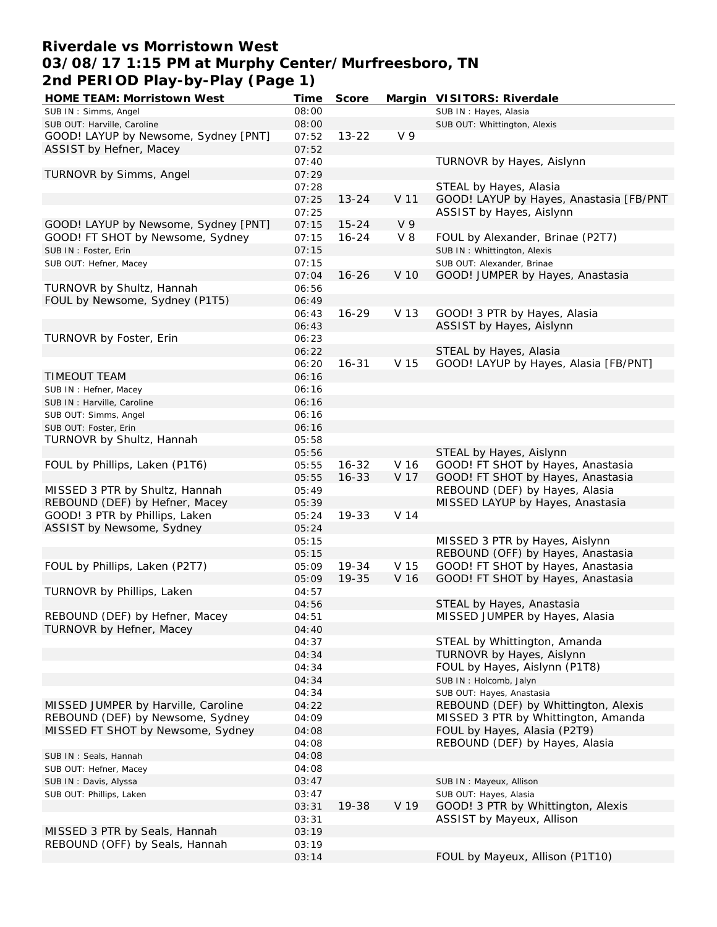# **Riverdale vs Morristown West 03/08/17 1:15 PM at Murphy Center/Murfreesboro, TN 2nd PERIOD Play-by-Play (Page 1)**

| HOME TEAM: Morristown West           | Time  | Score     |                | Margin VISITORS: Riverdale              |
|--------------------------------------|-------|-----------|----------------|-----------------------------------------|
| SUB IN: Simms, Angel                 | 08:00 |           |                | SUB IN: Hayes, Alasia                   |
| SUB OUT: Harville, Caroline          | 08:00 |           |                | SUB OUT: Whittington, Alexis            |
| GOOD! LAYUP by Newsome, Sydney [PNT] | 07:52 | $13 - 22$ | V <sub>9</sub> |                                         |
| ASSIST by Hefner, Macey              | 07:52 |           |                |                                         |
|                                      | 07:40 |           |                | TURNOVR by Hayes, Aislynn               |
| TURNOVR by Simms, Angel              | 07:29 |           |                |                                         |
|                                      | 07:28 |           |                | STEAL by Hayes, Alasia                  |
|                                      | 07:25 | $13 - 24$ | V 11           | GOOD! LAYUP by Hayes, Anastasia [FB/PNT |
|                                      | 07:25 |           |                | ASSIST by Hayes, Aislynn                |
| GOOD! LAYUP by Newsome, Sydney [PNT] | 07:15 | $15 - 24$ | V <sub>9</sub> |                                         |
|                                      |       | $16 - 24$ |                |                                         |
| GOOD! FT SHOT by Newsome, Sydney     | 07:15 |           | $V_8$          | FOUL by Alexander, Brinae (P2T7)        |
| SUB IN : Foster, Erin                | 07:15 |           |                | SUB IN: Whittington, Alexis             |
| SUB OUT: Hefner, Macey               | 07:15 |           |                | SUB OUT: Alexander, Brinae              |
|                                      | 07:04 | $16 - 26$ | V 10           | GOOD! JUMPER by Hayes, Anastasia        |
| TURNOVR by Shultz, Hannah            | 06:56 |           |                |                                         |
| FOUL by Newsome, Sydney (P1T5)       | 06:49 |           |                |                                         |
|                                      | 06:43 | $16 - 29$ | V 13           | GOOD! 3 PTR by Hayes, Alasia            |
|                                      | 06:43 |           |                | ASSIST by Hayes, Aislynn                |
| TURNOVR by Foster, Erin              | 06:23 |           |                |                                         |
|                                      | 06:22 |           |                | STEAL by Hayes, Alasia                  |
|                                      | 06:20 | $16 - 31$ | V 15           | GOOD! LAYUP by Hayes, Alasia [FB/PNT]   |
| TIMEOUT TEAM                         | 06:16 |           |                |                                         |
| SUB IN: Hefner, Macey                | 06:16 |           |                |                                         |
| SUB IN : Harville, Caroline          | 06:16 |           |                |                                         |
| SUB OUT: Simms, Angel                | 06:16 |           |                |                                         |
| SUB OUT: Foster, Erin                | 06:16 |           |                |                                         |
| TURNOVR by Shultz, Hannah            | 05:58 |           |                |                                         |
|                                      | 05:56 |           |                | STEAL by Hayes, Aislynn                 |
| FOUL by Phillips, Laken (P1T6)       | 05:55 | $16 - 32$ | V 16           | GOOD! FT SHOT by Hayes, Anastasia       |
|                                      | 05:55 | $16 - 33$ | V 17           | GOOD! FT SHOT by Hayes, Anastasia       |
| MISSED 3 PTR by Shultz, Hannah       | 05:49 |           |                | REBOUND (DEF) by Hayes, Alasia          |
| REBOUND (DEF) by Hefner, Macey       | 05:39 |           |                | MISSED LAYUP by Hayes, Anastasia        |
|                                      |       | 19-33     | V 14           |                                         |
| GOOD! 3 PTR by Phillips, Laken       | 05:24 |           |                |                                         |
| ASSIST by Newsome, Sydney            | 05:24 |           |                |                                         |
|                                      | 05:15 |           |                | MISSED 3 PTR by Hayes, Aislynn          |
|                                      | 05:15 |           |                | REBOUND (OFF) by Hayes, Anastasia       |
| FOUL by Phillips, Laken (P2T7)       | 05:09 | 19-34     | V 15           | GOOD! FT SHOT by Hayes, Anastasia       |
|                                      | 05:09 | 19-35     | V 16           | GOOD! FT SHOT by Hayes, Anastasia       |
| TURNOVR by Phillips, Laken           | 04:57 |           |                |                                         |
|                                      | 04:56 |           |                | STEAL by Hayes, Anastasia               |
| REBOUND (DEF) by Hefner, Macey       | 04:51 |           |                | MISSED JUMPER by Hayes, Alasia          |
| TURNOVR by Hefner, Macey             | 04:40 |           |                |                                         |
|                                      | 04:37 |           |                | STEAL by Whittington, Amanda            |
|                                      | 04:34 |           |                | TURNOVR by Hayes, Aislynn               |
|                                      | 04:34 |           |                | FOUL by Hayes, Aislynn (P1T8)           |
|                                      | 04:34 |           |                | SUB IN: Holcomb, Jalyn                  |
|                                      | 04:34 |           |                | SUB OUT: Hayes, Anastasia               |
| MISSED JUMPER by Harville, Caroline  | 04:22 |           |                | REBOUND (DEF) by Whittington, Alexis    |
| REBOUND (DEF) by Newsome, Sydney     | 04:09 |           |                | MISSED 3 PTR by Whittington, Amanda     |
| MISSED FT SHOT by Newsome, Sydney    | 04:08 |           |                | FOUL by Hayes, Alasia (P2T9)            |
|                                      | 04:08 |           |                | REBOUND (DEF) by Hayes, Alasia          |
| SUB IN: Seals, Hannah                | 04:08 |           |                |                                         |
| SUB OUT: Hefner, Macey               | 04:08 |           |                |                                         |
| SUB IN: Davis, Alyssa                | 03:47 |           |                | SUB IN: Mayeux, Allison                 |
| SUB OUT: Phillips, Laken             | 03:47 |           |                | SUB OUT: Hayes, Alasia                  |
|                                      | 03:31 | 19-38     | V 19           | GOOD! 3 PTR by Whittington, Alexis      |
|                                      | 03:31 |           |                | ASSIST by Mayeux, Allison               |
|                                      |       |           |                |                                         |
| MISSED 3 PTR by Seals, Hannah        | 03:19 |           |                |                                         |
| REBOUND (OFF) by Seals, Hannah       | 03:19 |           |                |                                         |
|                                      | 03:14 |           |                | FOUL by Mayeux, Allison (P1T10)         |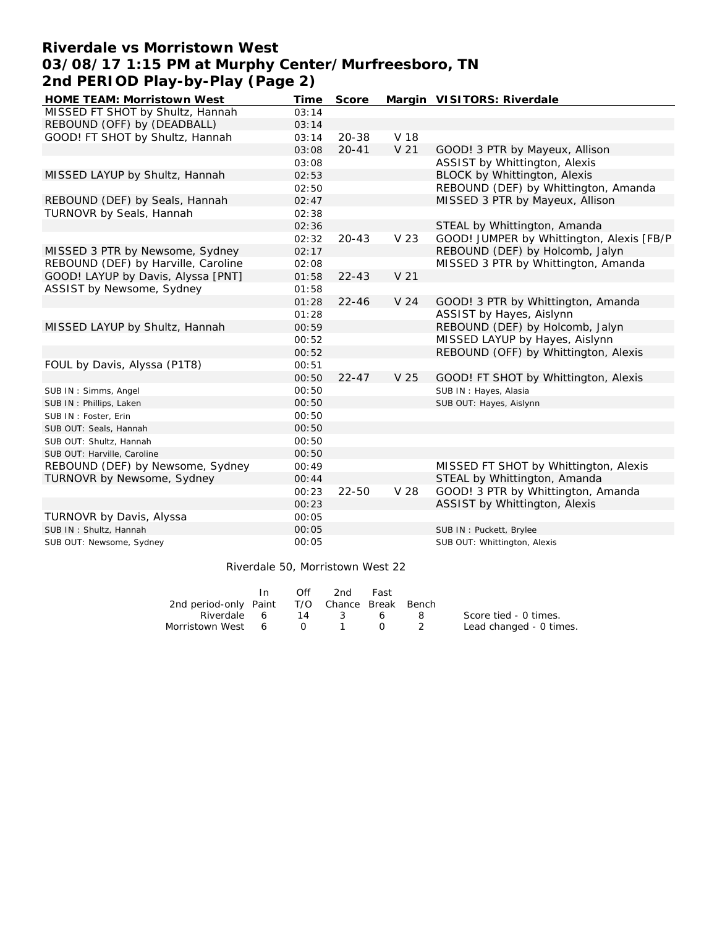# **Riverdale vs Morristown West 03/08/17 1:15 PM at Murphy Center/Murfreesboro, TN 2nd PERIOD Play-by-Play (Page 2)**

| MISSED FT SHOT by Shultz, Hannah<br>03:14<br>REBOUND (OFF) by (DEADBALL)<br>03:14<br>GOOD! FT SHOT by Shultz, Hannah<br>$20 - 38$<br>V 18<br>03:14<br>V <sub>21</sub><br>$20 - 41$<br>GOOD! 3 PTR by Mayeux, Allison<br>03:08<br>ASSIST by Whittington, Alexis<br>03:08<br>BLOCK by Whittington, Alexis<br>MISSED LAYUP by Shultz, Hannah<br>02:53<br>REBOUND (DEF) by Whittington, Amanda<br>02:50 |
|-----------------------------------------------------------------------------------------------------------------------------------------------------------------------------------------------------------------------------------------------------------------------------------------------------------------------------------------------------------------------------------------------------|
|                                                                                                                                                                                                                                                                                                                                                                                                     |
|                                                                                                                                                                                                                                                                                                                                                                                                     |
|                                                                                                                                                                                                                                                                                                                                                                                                     |
|                                                                                                                                                                                                                                                                                                                                                                                                     |
|                                                                                                                                                                                                                                                                                                                                                                                                     |
|                                                                                                                                                                                                                                                                                                                                                                                                     |
|                                                                                                                                                                                                                                                                                                                                                                                                     |
| REBOUND (DEF) by Seals, Hannah<br>MISSED 3 PTR by Mayeux, Allison<br>02:47                                                                                                                                                                                                                                                                                                                          |
| TURNOVR by Seals, Hannah<br>02:38                                                                                                                                                                                                                                                                                                                                                                   |
| STEAL by Whittington, Amanda<br>02:36                                                                                                                                                                                                                                                                                                                                                               |
| GOOD! JUMPER by Whittington, Alexis [FB/P<br>V 23<br>02:32<br>$20 - 43$                                                                                                                                                                                                                                                                                                                             |
| REBOUND (DEF) by Holcomb, Jalyn<br>MISSED 3 PTR by Newsome, Sydney<br>02:17                                                                                                                                                                                                                                                                                                                         |
| REBOUND (DEF) by Harville, Caroline<br>MISSED 3 PTR by Whittington, Amanda<br>02:08                                                                                                                                                                                                                                                                                                                 |
| GOOD! LAYUP by Davis, Alyssa [PNT]<br>$22 - 43$<br>V <sub>21</sub><br>01:58                                                                                                                                                                                                                                                                                                                         |
| ASSIST by Newsome, Sydney<br>01:58                                                                                                                                                                                                                                                                                                                                                                  |
| $22 - 46$<br>01:28<br>V <sub>24</sub><br>GOOD! 3 PTR by Whittington, Amanda                                                                                                                                                                                                                                                                                                                         |
| ASSIST by Hayes, Aislynn<br>01:28                                                                                                                                                                                                                                                                                                                                                                   |
| REBOUND (DEF) by Holcomb, Jalyn<br>MISSED LAYUP by Shultz, Hannah<br>00:59                                                                                                                                                                                                                                                                                                                          |
| MISSED LAYUP by Hayes, Aislynn<br>00:52                                                                                                                                                                                                                                                                                                                                                             |
| REBOUND (OFF) by Whittington, Alexis<br>00:52                                                                                                                                                                                                                                                                                                                                                       |
| FOUL by Davis, Alyssa (P1T8)<br>00:51                                                                                                                                                                                                                                                                                                                                                               |
| $22 - 47$<br>00:50<br>V <sub>25</sub><br>GOOD! FT SHOT by Whittington, Alexis                                                                                                                                                                                                                                                                                                                       |
| 00:50<br>SUB IN: Hayes, Alasia<br>SUB IN: Simms, Angel                                                                                                                                                                                                                                                                                                                                              |
| 00:50<br>SUB OUT: Hayes, Aislynn<br>SUB IN: Phillips, Laken                                                                                                                                                                                                                                                                                                                                         |
| 00:50<br>SUB IN: Foster, Erin                                                                                                                                                                                                                                                                                                                                                                       |
| 00:50<br>SUB OUT: Seals, Hannah                                                                                                                                                                                                                                                                                                                                                                     |
| 00:50<br>SUB OUT: Shultz, Hannah                                                                                                                                                                                                                                                                                                                                                                    |
| 00:50<br>SUB OUT: Harville, Caroline                                                                                                                                                                                                                                                                                                                                                                |
| REBOUND (DEF) by Newsome, Sydney<br>MISSED FT SHOT by Whittington, Alexis<br>00:49                                                                                                                                                                                                                                                                                                                  |
| STEAL by Whittington, Amanda<br>TURNOVR by Newsome, Sydney<br>00:44                                                                                                                                                                                                                                                                                                                                 |
| GOOD! 3 PTR by Whittington, Amanda<br>$22 - 50$<br>V 28<br>00:23                                                                                                                                                                                                                                                                                                                                    |
| ASSIST by Whittington, Alexis<br>00:23                                                                                                                                                                                                                                                                                                                                                              |
| TURNOVR by Davis, Alyssa<br>00:05                                                                                                                                                                                                                                                                                                                                                                   |
| 00:05<br>SUB IN: Shultz, Hannah<br>SUB IN: Puckett, Brylee                                                                                                                                                                                                                                                                                                                                          |
| 00:05<br>SUB OUT: Whittington, Alexis<br>SUB OUT: Newsome, Sydney                                                                                                                                                                                                                                                                                                                                   |
|                                                                                                                                                                                                                                                                                                                                                                                                     |

|                                              | In | Off | 2nd      | Fast |                         |
|----------------------------------------------|----|-----|----------|------|-------------------------|
| 2nd period-only Paint T/O Chance Break Bench |    |     |          |      |                         |
| Riverdale 6                                  |    |     | 14 3 6 8 |      | Score tied - 0 times.   |
| Morristown West 6 0 1 0 2                    |    |     |          |      | Lead changed - 0 times. |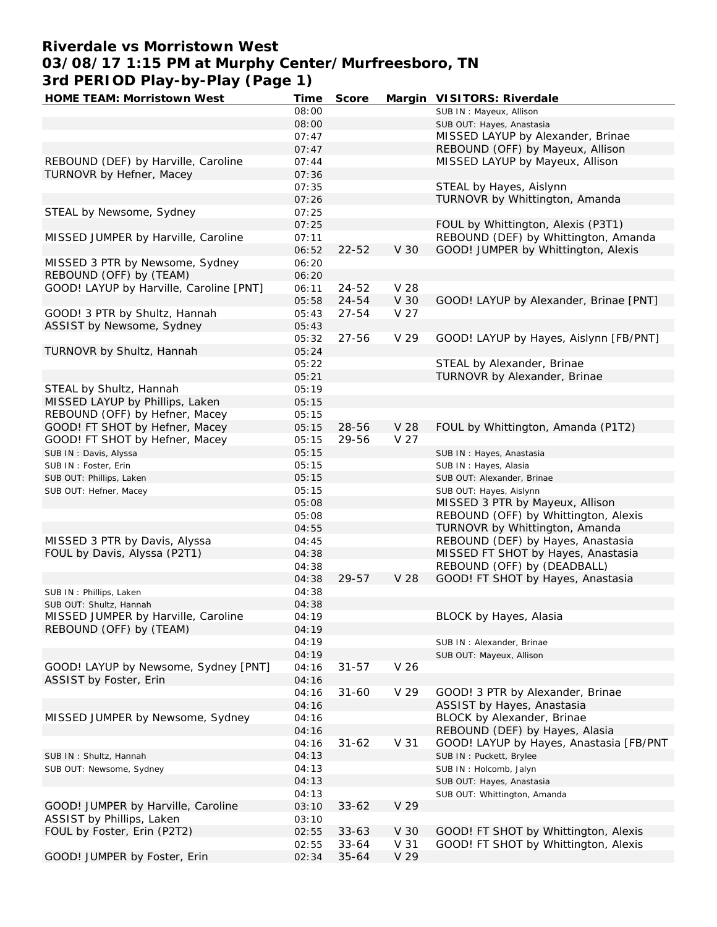# **Riverdale vs Morristown West 03/08/17 1:15 PM at Murphy Center/Murfreesboro, TN 3rd PERIOD Play-by-Play (Page 1)**

| HOME TEAM: Morristown West              | Time  | Score     |      | Margin VISITORS: Riverdale              |
|-----------------------------------------|-------|-----------|------|-----------------------------------------|
|                                         | 08:00 |           |      | SUB IN: Mayeux, Allison                 |
|                                         | 08:00 |           |      | SUB OUT: Hayes, Anastasia               |
|                                         | 07:47 |           |      | MISSED LAYUP by Alexander, Brinae       |
|                                         | 07:47 |           |      | REBOUND (OFF) by Mayeux, Allison        |
| REBOUND (DEF) by Harville, Caroline     | 07:44 |           |      | MISSED LAYUP by Mayeux, Allison         |
| TURNOVR by Hefner, Macey                | 07:36 |           |      |                                         |
|                                         | 07:35 |           |      | STEAL by Hayes, Aislynn                 |
|                                         | 07:26 |           |      | TURNOVR by Whittington, Amanda          |
| STEAL by Newsome, Sydney                | 07:25 |           |      |                                         |
|                                         | 07:25 |           |      | FOUL by Whittington, Alexis (P3T1)      |
| MISSED JUMPER by Harville, Caroline     | 07:11 |           |      | REBOUND (DEF) by Whittington, Amanda    |
|                                         | 06:52 | $22 - 52$ | V 30 | GOOD! JUMPER by Whittington, Alexis     |
| MISSED 3 PTR by Newsome, Sydney         |       |           |      |                                         |
|                                         | 06:20 |           |      |                                         |
| REBOUND (OFF) by (TEAM)                 | 06:20 |           |      |                                         |
| GOOD! LAYUP by Harville, Caroline [PNT] | 06:11 | 24-52     | V 28 |                                         |
|                                         | 05:58 | $24 - 54$ | V 30 | GOOD! LAYUP by Alexander, Brinae [PNT]  |
| GOOD! 3 PTR by Shultz, Hannah           | 05:43 | $27 - 54$ | V 27 |                                         |
| ASSIST by Newsome, Sydney               | 05:43 |           |      |                                         |
|                                         | 05:32 | $27 - 56$ | V 29 | GOOD! LAYUP by Hayes, Aislynn [FB/PNT]  |
| TURNOVR by Shultz, Hannah               | 05:24 |           |      |                                         |
|                                         | 05:22 |           |      | STEAL by Alexander, Brinae              |
|                                         | 05:21 |           |      | TURNOVR by Alexander, Brinae            |
| STEAL by Shultz, Hannah                 | 05:19 |           |      |                                         |
| MISSED LAYUP by Phillips, Laken         | 05:15 |           |      |                                         |
| REBOUND (OFF) by Hefner, Macey          | 05:15 |           |      |                                         |
| GOOD! FT SHOT by Hefner, Macey          | 05:15 | 28-56     | V 28 | FOUL by Whittington, Amanda (P1T2)      |
| GOOD! FT SHOT by Hefner, Macey          | 05:15 | 29-56     | V 27 |                                         |
| SUB IN: Davis, Alyssa                   | 05:15 |           |      | SUB IN: Hayes, Anastasia                |
| SUB IN: Foster, Erin                    | 05:15 |           |      | SUB IN: Hayes, Alasia                   |
| SUB OUT: Phillips, Laken                | 05:15 |           |      | SUB OUT: Alexander, Brinae              |
| SUB OUT: Hefner, Macey                  | 05:15 |           |      | SUB OUT: Hayes, Aislynn                 |
|                                         | 05:08 |           |      | MISSED 3 PTR by Mayeux, Allison         |
|                                         | 05:08 |           |      | REBOUND (OFF) by Whittington, Alexis    |
|                                         | 04:55 |           |      | TURNOVR by Whittington, Amanda          |
| MISSED 3 PTR by Davis, Alyssa           | 04:45 |           |      | REBOUND (DEF) by Hayes, Anastasia       |
| FOUL by Davis, Alyssa (P2T1)            | 04:38 |           |      | MISSED FT SHOT by Hayes, Anastasia      |
|                                         | 04:38 |           |      | REBOUND (OFF) by (DEADBALL)             |
|                                         |       |           |      |                                         |
|                                         | 04:38 | 29-57     | V 28 | GOOD! FT SHOT by Hayes, Anastasia       |
| SUB IN: Phillips, Laken                 | 04:38 |           |      |                                         |
| SUB OUT: Shultz, Hannah                 | 04:38 |           |      |                                         |
| MISSED JUMPER by Harville, Caroline     | 04:19 |           |      | BLOCK by Hayes, Alasia                  |
| REBOUND (OFF) by (TEAM)                 | 04:19 |           |      |                                         |
|                                         | 04:19 |           |      | SUB IN: Alexander, Brinae               |
|                                         | 04:19 |           |      | SUB OUT: Mayeux, Allison                |
| GOOD! LAYUP by Newsome, Sydney [PNT]    | 04:16 | $31 - 57$ | V 26 |                                         |
| ASSIST by Foster, Erin                  | 04:16 |           |      |                                         |
|                                         | 04:16 | $31 - 60$ | V 29 | GOOD! 3 PTR by Alexander, Brinae        |
|                                         | 04:16 |           |      | ASSIST by Hayes, Anastasia              |
| MISSED JUMPER by Newsome, Sydney        | 04:16 |           |      | BLOCK by Alexander, Brinae              |
|                                         | 04:16 |           |      | REBOUND (DEF) by Hayes, Alasia          |
|                                         | 04:16 | $31 - 62$ | V 31 | GOOD! LAYUP by Hayes, Anastasia [FB/PNT |
| SUB IN: Shultz, Hannah                  | 04:13 |           |      | SUB IN: Puckett, Brylee                 |
| SUB OUT: Newsome, Sydney                | 04:13 |           |      | SUB IN: Holcomb, Jalyn                  |
|                                         | 04:13 |           |      | SUB OUT: Hayes, Anastasia               |
|                                         | 04:13 |           |      | SUB OUT: Whittington, Amanda            |
| GOOD! JUMPER by Harville, Caroline      | 03:10 | $33 - 62$ | V 29 |                                         |
| ASSIST by Phillips, Laken               | 03:10 |           |      |                                         |
| FOUL by Foster, Erin (P2T2)             | 02:55 | $33 - 63$ | V 30 | GOOD! FT SHOT by Whittington, Alexis    |
|                                         | 02:55 | $33 - 64$ | V 31 | GOOD! FT SHOT by Whittington, Alexis    |
| GOOD! JUMPER by Foster, Erin            | 02:34 | $35 - 64$ | V 29 |                                         |
|                                         |       |           |      |                                         |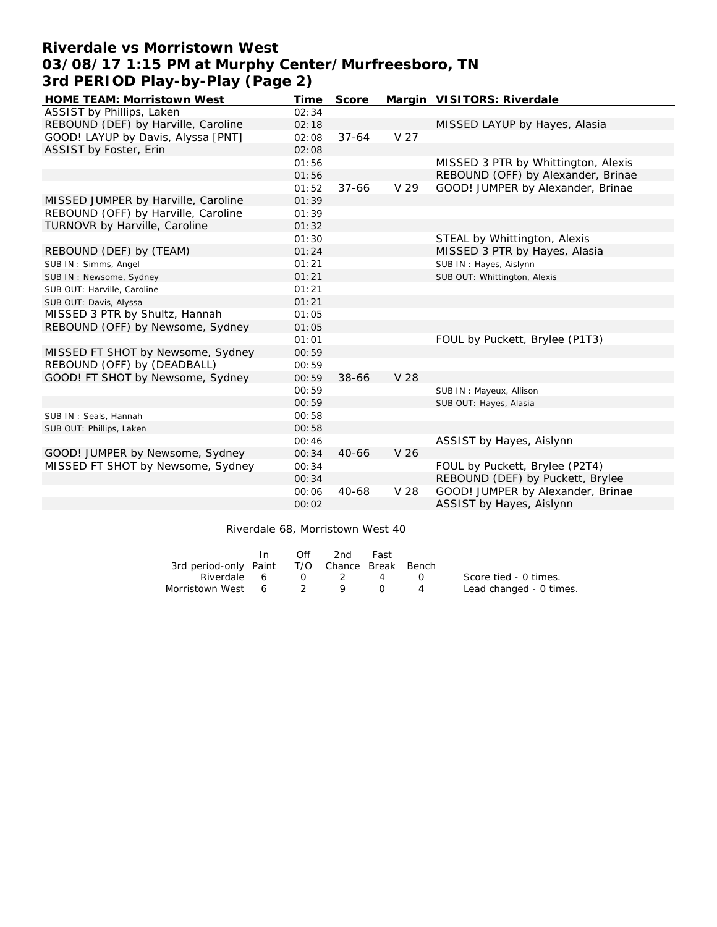# **Riverdale vs Morristown West 03/08/17 1:15 PM at Murphy Center/Murfreesboro, TN 3rd PERIOD Play-by-Play (Page 2)**

| HOME TEAM: Morristown West          | Time  | Score     |                 | Margin VISITORS: Riverdale          |
|-------------------------------------|-------|-----------|-----------------|-------------------------------------|
| ASSIST by Phillips, Laken           | 02:34 |           |                 |                                     |
| REBOUND (DEF) by Harville, Caroline | 02:18 |           |                 | MISSED LAYUP by Hayes, Alasia       |
| GOOD! LAYUP by Davis, Alyssa [PNT]  | 02:08 | $37 - 64$ | V <sub>27</sub> |                                     |
| ASSIST by Foster, Erin              | 02:08 |           |                 |                                     |
|                                     | 01:56 |           |                 | MISSED 3 PTR by Whittington, Alexis |
|                                     | 01:56 |           |                 | REBOUND (OFF) by Alexander, Brinae  |
|                                     | 01:52 | $37 - 66$ | V 29            | GOOD! JUMPER by Alexander, Brinae   |
| MISSED JUMPER by Harville, Caroline | 01:39 |           |                 |                                     |
| REBOUND (OFF) by Harville, Caroline | 01:39 |           |                 |                                     |
| TURNOVR by Harville, Caroline       | 01:32 |           |                 |                                     |
|                                     | 01:30 |           |                 | STEAL by Whittington, Alexis        |
| REBOUND (DEF) by (TEAM)             | 01:24 |           |                 | MISSED 3 PTR by Hayes, Alasia       |
| SUB IN: Simms, Angel                | 01:21 |           |                 | SUB IN: Hayes, Aislynn              |
| SUB IN: Newsome, Sydney             | 01:21 |           |                 | SUB OUT: Whittington, Alexis        |
| SUB OUT: Harville, Caroline         | 01:21 |           |                 |                                     |
| SUB OUT: Davis, Alyssa              | 01:21 |           |                 |                                     |
| MISSED 3 PTR by Shultz, Hannah      | 01:05 |           |                 |                                     |
| REBOUND (OFF) by Newsome, Sydney    | 01:05 |           |                 |                                     |
|                                     | 01:01 |           |                 | FOUL by Puckett, Brylee (P1T3)      |
| MISSED FT SHOT by Newsome, Sydney   | 00:59 |           |                 |                                     |
| REBOUND (OFF) by (DEADBALL)         | 00:59 |           |                 |                                     |
| GOOD! FT SHOT by Newsome, Sydney    | 00:59 | 38-66     | V 28            |                                     |
|                                     | 00:59 |           |                 | SUB IN: Mayeux, Allison             |
|                                     | 00:59 |           |                 | SUB OUT: Hayes, Alasia              |
| SUB IN: Seals, Hannah               | 00:58 |           |                 |                                     |
| SUB OUT: Phillips, Laken            | 00:58 |           |                 |                                     |
|                                     | 00:46 |           |                 | ASSIST by Hayes, Aislynn            |
| GOOD! JUMPER by Newsome, Sydney     | 00:34 | $40 - 66$ | V 26            |                                     |
| MISSED FT SHOT by Newsome, Sydney   | 00:34 |           |                 | FOUL by Puckett, Brylee (P2T4)      |
|                                     | 00:34 |           |                 | REBOUND (DEF) by Puckett, Brylee    |
|                                     | 00:06 | $40 - 68$ | V 28            | GOOD! JUMPER by Alexander, Brinae   |
|                                     | 00:02 |           |                 | ASSIST by Hayes, Aislynn            |

Riverdale 68, Morristown West 40

|                                              | In. | Off | 2nd                   | Fast          |                |                         |
|----------------------------------------------|-----|-----|-----------------------|---------------|----------------|-------------------------|
| 3rd period-only Paint T/O Chance Break Bench |     |     |                       |               |                |                         |
| Riverdale 6                                  |     |     | $0 \qquad 2 \qquad 4$ |               | $\bigcap$      | Score tied - 0 times.   |
| Morristown West 6 2 9                        |     |     | O,                    | <sup>()</sup> | $\overline{4}$ | Lead changed - 0 times. |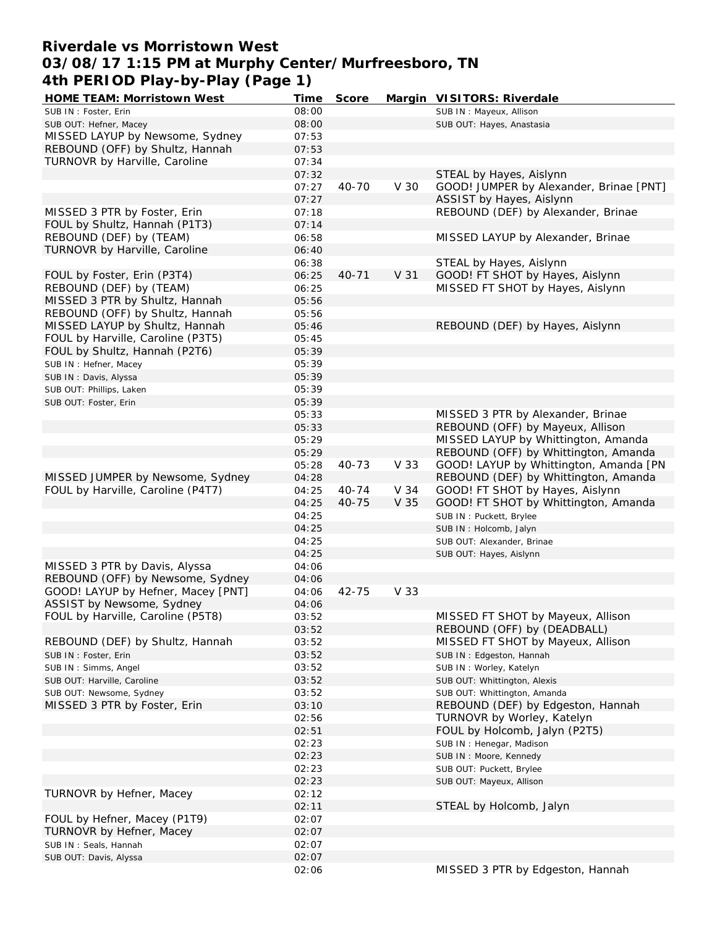# **Riverdale vs Morristown West 03/08/17 1:15 PM at Murphy Center/Murfreesboro, TN 4th PERIOD Play-by-Play (Page 1)**

| HOME TEAM: Morristown West         | Time  | Score     |      | Margin VISITORS: Riverdale              |
|------------------------------------|-------|-----------|------|-----------------------------------------|
| SUB IN: Foster, Erin               | 08:00 |           |      | SUB IN: Mayeux, Allison                 |
| SUB OUT: Hefner, Macey             | 08:00 |           |      | SUB OUT: Hayes, Anastasia               |
| MISSED LAYUP by Newsome, Sydney    | 07:53 |           |      |                                         |
| REBOUND (OFF) by Shultz, Hannah    | 07:53 |           |      |                                         |
| TURNOVR by Harville, Caroline      | 07:34 |           |      |                                         |
|                                    | 07:32 |           |      | STEAL by Hayes, Aislynn                 |
|                                    | 07:27 | 40-70     | V 30 | GOOD! JUMPER by Alexander, Brinae [PNT] |
|                                    | 07:27 |           |      | ASSIST by Hayes, Aislynn                |
| MISSED 3 PTR by Foster, Erin       | 07:18 |           |      | REBOUND (DEF) by Alexander, Brinae      |
| FOUL by Shultz, Hannah (P1T3)      | 07:14 |           |      |                                         |
| REBOUND (DEF) by (TEAM)            | 06:58 |           |      | MISSED LAYUP by Alexander, Brinae       |
| TURNOVR by Harville, Caroline      | 06:40 |           |      |                                         |
|                                    | 06:38 |           |      | STEAL by Hayes, Aislynn                 |
| FOUL by Foster, Erin (P3T4)        | 06:25 | $40 - 71$ | V 31 | GOOD! FT SHOT by Hayes, Aislynn         |
| REBOUND (DEF) by (TEAM)            | 06:25 |           |      | MISSED FT SHOT by Hayes, Aislynn        |
| MISSED 3 PTR by Shultz, Hannah     | 05:56 |           |      |                                         |
| REBOUND (OFF) by Shultz, Hannah    | 05:56 |           |      |                                         |
| MISSED LAYUP by Shultz, Hannah     |       |           |      |                                         |
|                                    | 05:46 |           |      | REBOUND (DEF) by Hayes, Aislynn         |
| FOUL by Harville, Caroline (P3T5)  | 05:45 |           |      |                                         |
| FOUL by Shultz, Hannah (P2T6)      | 05:39 |           |      |                                         |
| SUB IN : Hefner, Macey             | 05:39 |           |      |                                         |
| SUB IN: Davis, Alyssa              | 05:39 |           |      |                                         |
| SUB OUT: Phillips, Laken           | 05:39 |           |      |                                         |
| SUB OUT: Foster, Erin              | 05:39 |           |      |                                         |
|                                    | 05:33 |           |      | MISSED 3 PTR by Alexander, Brinae       |
|                                    | 05:33 |           |      | REBOUND (OFF) by Mayeux, Allison        |
|                                    | 05:29 |           |      | MISSED LAYUP by Whittington, Amanda     |
|                                    | 05:29 |           |      | REBOUND (OFF) by Whittington, Amanda    |
|                                    | 05:28 | 40-73     | V 33 | GOOD! LAYUP by Whittington, Amanda [PN  |
| MISSED JUMPER by Newsome, Sydney   | 04:28 |           |      | REBOUND (DEF) by Whittington, Amanda    |
| FOUL by Harville, Caroline (P4T7)  | 04:25 | $40 - 74$ | V 34 | GOOD! FT SHOT by Hayes, Aislynn         |
|                                    | 04:25 | 40-75     | V 35 | GOOD! FT SHOT by Whittington, Amanda    |
|                                    | 04:25 |           |      | SUB IN: Puckett, Brylee                 |
|                                    | 04:25 |           |      | SUB IN: Holcomb, Jalyn                  |
|                                    | 04:25 |           |      | SUB OUT: Alexander, Brinae              |
|                                    | 04:25 |           |      | SUB OUT: Hayes, Aislynn                 |
| MISSED 3 PTR by Davis, Alyssa      | 04:06 |           |      |                                         |
| REBOUND (OFF) by Newsome, Sydney   | 04:06 |           |      |                                         |
| GOOD! LAYUP by Hefner, Macey [PNT] | 04:06 | 42-75     | V 33 |                                         |
| ASSIST by Newsome, Sydney          | 04:06 |           |      |                                         |
| FOUL by Harville, Caroline (P5T8)  | 03:52 |           |      | MISSED FT SHOT by Mayeux, Allison       |
|                                    | 03:52 |           |      | REBOUND (OFF) by (DEADBALL)             |
| REBOUND (DEF) by Shultz, Hannah    | 03:52 |           |      | MISSED FT SHOT by Mayeux, Allison       |
| SUB IN : Foster, Erin              | 03:52 |           |      | SUB IN: Edgeston, Hannah                |
| SUB IN: Simms, Angel               | 03:52 |           |      | SUB IN: Worley, Katelyn                 |
| SUB OUT: Harville, Caroline        | 03:52 |           |      | SUB OUT: Whittington, Alexis            |
| SUB OUT: Newsome, Sydney           | 03:52 |           |      | SUB OUT: Whittington, Amanda            |
| MISSED 3 PTR by Foster, Erin       | 03:10 |           |      | REBOUND (DEF) by Edgeston, Hannah       |
|                                    | 02:56 |           |      | TURNOVR by Worley, Katelyn              |
|                                    | 02:51 |           |      | FOUL by Holcomb, Jalyn (P2T5)           |
|                                    | 02:23 |           |      | SUB IN: Henegar, Madison                |
|                                    | 02:23 |           |      | SUB IN: Moore, Kennedy                  |
|                                    | 02:23 |           |      | SUB OUT: Puckett, Brylee                |
|                                    | 02:23 |           |      | SUB OUT: Mayeux, Allison                |
| TURNOVR by Hefner, Macey           | 02:12 |           |      |                                         |
|                                    | 02:11 |           |      | STEAL by Holcomb, Jalyn                 |
| FOUL by Hefner, Macey (P1T9)       | 02:07 |           |      |                                         |
| TURNOVR by Hefner, Macey           | 02:07 |           |      |                                         |
| SUB IN: Seals, Hannah              | 02:07 |           |      |                                         |
| SUB OUT: Davis, Alyssa             | 02:07 |           |      |                                         |
|                                    | 02:06 |           |      | MISSED 3 PTR by Edgeston, Hannah        |
|                                    |       |           |      |                                         |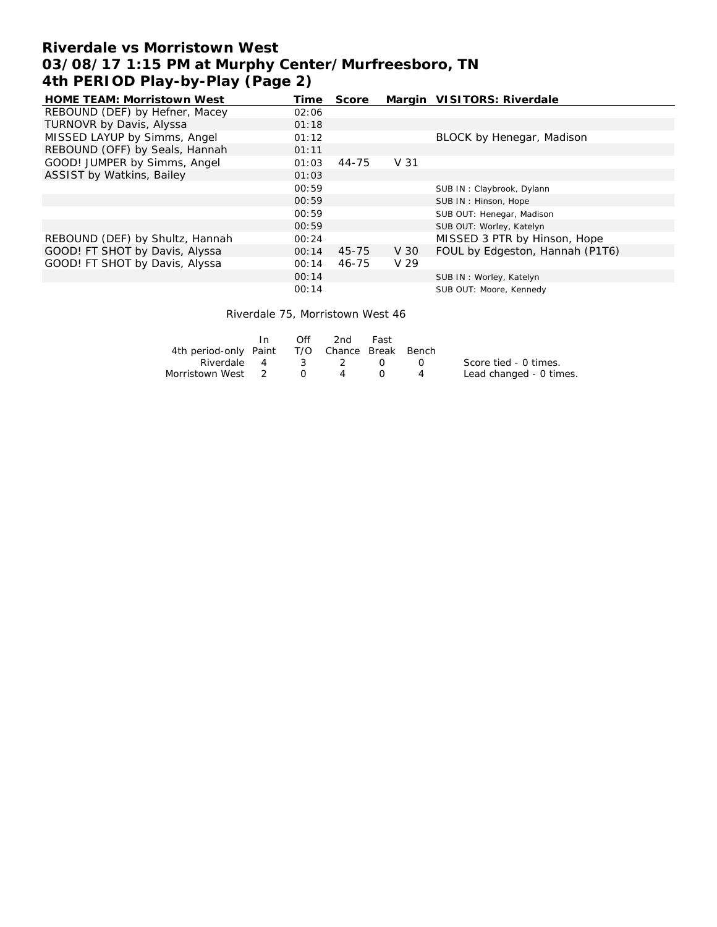## **Riverdale vs Morristown West 03/08/17 1:15 PM at Murphy Center/Murfreesboro, TN 4th PERIOD Play-by-Play (Page 2)**

| <b>HOME TEAM: Morristown West</b> | Time  | Score |                 | Margin VISITORS: Riverdale      |
|-----------------------------------|-------|-------|-----------------|---------------------------------|
| REBOUND (DEF) by Hefner, Macey    | 02:06 |       |                 |                                 |
| TURNOVR by Davis, Alyssa          | 01:18 |       |                 |                                 |
| MISSED LAYUP by Simms, Angel      | 01:12 |       |                 | BLOCK by Henegar, Madison       |
| REBOUND (OFF) by Seals, Hannah    | 01:11 |       |                 |                                 |
| GOOD! JUMPER by Simms, Angel      | 01:03 | 44-75 | V 31            |                                 |
| ASSIST by Watkins, Bailey         | 01:03 |       |                 |                                 |
|                                   | 00:59 |       |                 | SUB IN: Claybrook, Dylann       |
|                                   | 00:59 |       |                 | SUB IN: Hinson, Hope            |
|                                   | 00:59 |       |                 | SUB OUT: Henegar, Madison       |
|                                   | 00:59 |       |                 | SUB OUT: Worley, Katelyn        |
| REBOUND (DEF) by Shultz, Hannah   | 00:24 |       |                 | MISSED 3 PTR by Hinson, Hope    |
| GOOD! FT SHOT by Davis, Alyssa    | 00:14 | 45-75 | V 30            | FOUL by Edgeston, Hannah (P1T6) |
| GOOD! FT SHOT by Davis, Alyssa    | 00:14 | 46-75 | V <sub>29</sub> |                                 |
|                                   | 00:14 |       |                 | SUB IN: Worley, Katelyn         |
|                                   | 00:14 |       |                 | SUB OUT: Moore, Kennedy         |

Riverdale 75, Morristown West 46

|                                              | In. | Off | 2nd  | Fast |                                                                                                |                         |
|----------------------------------------------|-----|-----|------|------|------------------------------------------------------------------------------------------------|-------------------------|
| 4th period-only Paint T/O Chance Break Bench |     |     |      |      |                                                                                                |                         |
| Riverdale 4 3 2 0                            |     |     |      |      | $\left( \begin{array}{ccc} \cdot & \cdot & \cdot \\ \cdot & \cdot & \cdot \end{array} \right)$ | Score tied - 0 times.   |
| Morristown West 2 0                          |     |     | 4 () |      |                                                                                                | Lead changed - 0 times. |